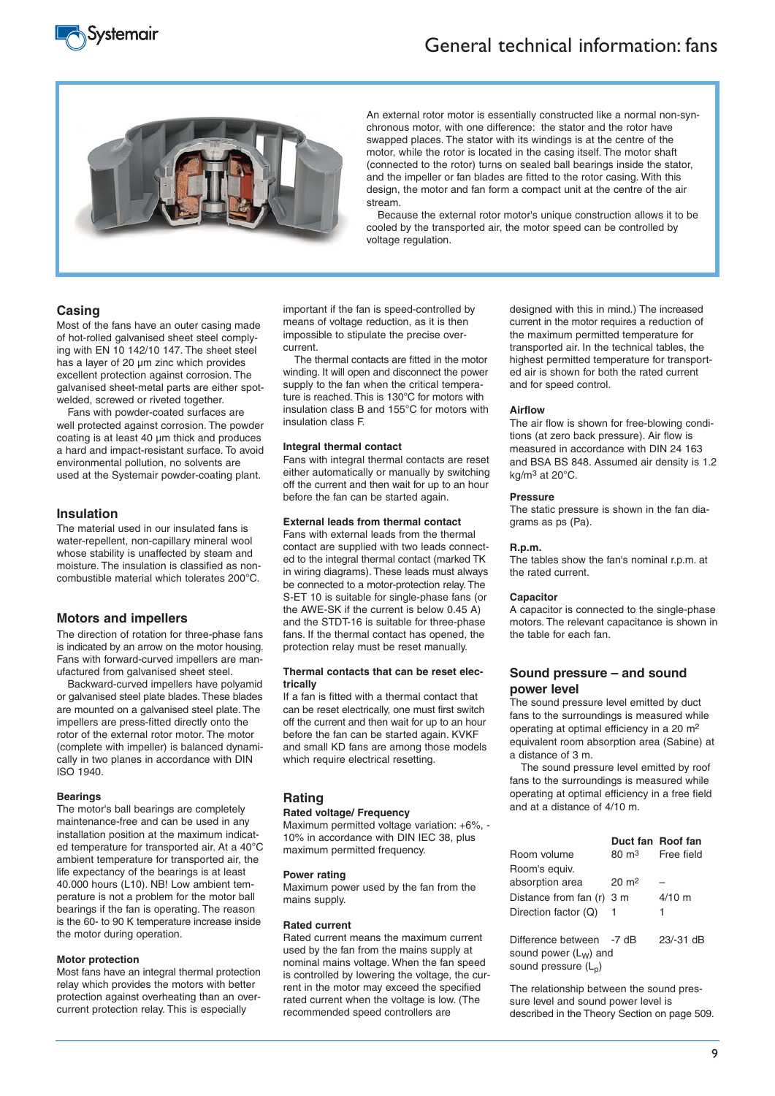



An external rotor motor is essentially constructed like a normal non-synchronous motor, with one difference: the stator and the rotor have swapped places. The stator with its windings is at the centre of the motor, while the rotor is located in the casing itself. The motor shaft (connected to the rotor) turns on sealed ball bearings inside the stator, and the impeller or fan blades are fitted to the rotor casing. With this design, the motor and fan form a compact unit at the centre of the air stream.

Because the external rotor motor's unique construction allows it to be cooled by the transported air, the motor speed can be controlled by voltage regulation.

### **Casing**

Most of the fans have an outer casing made of hot-rolled galvanised sheet steel complying with EN 10 142/10 147. The sheet steel has a layer of 20 μm zinc which provides excellent protection against corrosion. The galvanised sheet-metal parts are either spotwelded, screwed or riveted together.

Fans with powder-coated surfaces are well protected against corrosion. The powder coating is at least 40 μm thick and produces a hard and impact-resistant surface. To avoid environmental pollution, no solvents are used at the Systemair powder-coating plant.

### **Insulation**

The material used in our insulated fans is water-repellent, non-capillary mineral wool whose stability is unaffected by steam and moisture. The insulation is classified as noncombustible material which tolerates 200°C.

#### **Motors and impellers**

The direction of rotation for three-phase fans is indicated by an arrow on the motor housing. Fans with forward-curved impellers are manufactured from galvanised sheet steel.

Backward-curved impellers have polyamid or galvanised steel plate blades. These blades are mounted on a galvanised steel plate. The impellers are press-fitted directly onto the rotor of the external rotor motor. The motor (complete with impeller) is balanced dynamically in two planes in accordance with DIN ISO 1940.

#### **Bearings**

The motor's ball bearings are completely maintenance-free and can be used in any installation position at the maximum indicated temperature for transported air. At a 40°C ambient temperature for transported air, the life expectancy of the bearings is at least 40.000 hours (L10). NB! Low ambient temperature is not a problem for the motor ball bearings if the fan is operating. The reason is the 60- to 90 K temperature increase inside the motor during operation.

#### **Motor protection**

Most fans have an integral thermal protection relay which provides the motors with better protection against overheating than an overcurrent protection relay. This is especially

important if the fan is speed-controlled by means of voltage reduction, as it is then impossible to stipulate the precise overcurrent.

The thermal contacts are fitted in the motor winding. It will open and disconnect the power supply to the fan when the critical temperature is reached. This is 130°C for motors with insulation class B and 155°C for motors with insulation class F.

#### **Integral thermal contact**

Fans with integral thermal contacts are reset either automatically or manually by switching off the current and then wait for up to an hour before the fan can be started again.

#### **External leads from thermal contact**

Fans with external leads from the thermal contact are supplied with two leads connected to the integral thermal contact (marked TK in wiring diagrams). These leads must always be connected to a motor-protection relay. The S-ET 10 is suitable for single-phase fans (or the AWE-SK if the current is below 0.45 A) and the STDT-16 is suitable for three-phase fans. If the thermal contact has opened, the protection relay must be reset manually.

#### **Thermal contacts that can be reset electrically**

If a fan is fitted with a thermal contact that can be reset electrically, one must first switch off the current and then wait for up to an hour before the fan can be started again. KVKF and small KD fans are among those models which require electrical resetting.

#### **Rating**

#### **Rated voltage/ Frequency**

Maximum permitted voltage variation: +6%, - 10% in accordance with DIN IEC 38, plus maximum permitted frequency.

### **Power rating**

Maximum power used by the fan from the mains supply.

#### **Rated current**

Rated current means the maximum current used by the fan from the mains supply at nominal mains voltage. When the fan speed is controlled by lowering the voltage, the current in the motor may exceed the specified rated current when the voltage is low. (The recommended speed controllers are

designed with this in mind.) The increased current in the motor requires a reduction of the maximum permitted temperature for transported air. In the technical tables, the highest permitted temperature for transported air is shown for both the rated current and for speed control.

#### **Airflow**

The air flow is shown for free-blowing conditions (at zero back pressure). Air flow is measured in accordance with DIN 24 163 and BSA BS 848. Assumed air density is 1.2 kg/m3 at 20°C.

#### **Pressure**

The static pressure is shown in the fan diagrams as ps (Pa).

#### **R.p.m.**

The tables show the fan's nominal r.p.m. at the rated current.

#### **Capacitor**

A capacitor is connected to the single-phase motors. The relevant capacitance is shown in the table for each fan.

#### **Sound pressure – and sound power level**

The sound pressure level emitted by duct fans to the surroundings is measured while operating at optimal efficiency in a 20 m2 equivalent room absorption area (Sabine) at a distance of 3 m.

The sound pressure level emitted by roof fans to the surroundings is measured while operating at optimal efficiency in a free field and at a distance of 4/10 m.

|                           |                    | Duct fan Roof fan |
|---------------------------|--------------------|-------------------|
| Room volume               | $80 \text{ m}^3$   | Free field        |
| Room's equiv.             |                    |                   |
| absorption area           | $20 \; \text{m}^2$ |                   |
| Distance from fan (r) 3 m |                    | $4/10$ m          |
| Direction factor (Q)      |                    | 1                 |
|                           |                    |                   |
| Difference between        | $-7$ dB            | $23/-31$ dB       |
| sound power $(L_W)$ and   |                    |                   |
| sound pressure $(L_n)$    |                    |                   |

The relationship between the sound pressure level and sound power level is described in the Theory Section on page 509.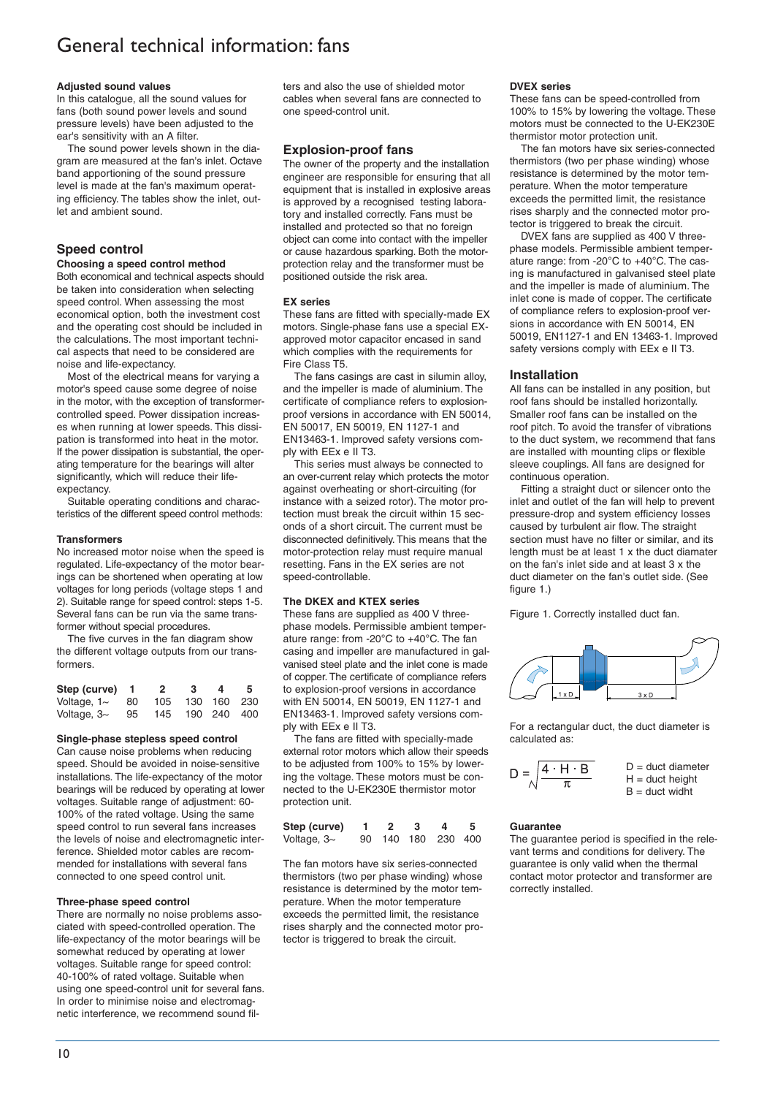#### **Adjusted sound values**

In this catalogue, all the sound values for fans (both sound power levels and sound pressure levels) have been adjusted to the ear's sensitivity with an A filter.

The sound power levels shown in the diagram are measured at the fan's inlet. Octave band apportioning of the sound pressure level is made at the fan's maximum operating efficiency. The tables show the inlet, outlet and ambient sound.

### **Speed control**

#### **Choosing a speed control method**

Both economical and technical aspects should be taken into consideration when selecting speed control. When assessing the most economical option, both the investment cost and the operating cost should be included in the calculations. The most important technical aspects that need to be considered are noise and life-expectancy.

Most of the electrical means for varying a motor's speed cause some degree of noise in the motor, with the exception of transformercontrolled speed. Power dissipation increases when running at lower speeds. This dissipation is transformed into heat in the motor. If the power dissipation is substantial, the operating temperature for the bearings will alter significantly, which will reduce their lifeexpectancy.

Suitable operating conditions and characteristics of the different speed control methods:

#### **Transformers**

No increased motor noise when the speed is regulated. Life-expectancy of the motor bearings can be shortened when operating at low voltages for long periods (voltage steps 1 and 2). Suitable range for speed control: steps 1-5. Several fans can be run via the same transformer without special procedures.

The five curves in the fan diagram show the different voltage outputs from our transformers.

| Step (curve) 1   |    | $\mathbf{2}$ | 3.              | 4           | 5. |
|------------------|----|--------------|-----------------|-------------|----|
| Voltage, $1\sim$ | 80 | 105          |                 | 130 160 230 |    |
| Voltage, $3\sim$ | 95 |              | 145 190 240 400 |             |    |

#### **Single-phase stepless speed control**

Can cause noise problems when reducing speed. Should be avoided in noise-sensitive installations. The life-expectancy of the motor bearings will be reduced by operating at lower voltages. Suitable range of adjustment: 60- 100% of the rated voltage. Using the same speed control to run several fans increases the levels of noise and electromagnetic interference. Shielded motor cables are recommended for installations with several fans connected to one speed control unit.

#### **Three-phase speed control**

There are normally no noise problems associated with speed-controlled operation. The life-expectancy of the motor bearings will be somewhat reduced by operating at lower voltages. Suitable range for speed control: 40-100% of rated voltage. Suitable when using one speed-control unit for several fans. In order to minimise noise and electromagnetic interference, we recommend sound filters and also the use of shielded motor cables when several fans are connected to one speed-control unit.

#### **Explosion-proof fans**

The owner of the property and the installation engineer are responsible for ensuring that all equipment that is installed in explosive areas is approved by a recognised testing laboratory and installed correctly. Fans must be installed and protected so that no foreign object can come into contact with the impeller or cause hazardous sparking. Both the motorprotection relay and the transformer must be positioned outside the risk area.

#### **EX series**

These fans are fitted with specially-made EX motors. Single-phase fans use a special EXapproved motor capacitor encased in sand which complies with the requirements for Fire Class T5.

The fans casings are cast in silumin alloy, and the impeller is made of aluminium. The certificate of compliance refers to explosionproof versions in accordance with EN 50014, EN 50017, EN 50019, EN 1127-1 and EN13463-1. Improved safety versions comply with EEx e II T3.

This series must always be connected to an over-current relay which protects the motor against overheating or short-circuiting (for instance with a seized rotor). The motor protection must break the circuit within 15 seconds of a short circuit. The current must be disconnected definitively. This means that the motor-protection relay must require manual resetting. Fans in the EX series are not speed-controllable.

#### **The DKEX and KTEX series**

These fans are supplied as 400 V threephase models. Permissible ambient temperature range: from -20°C to +40°C. The fan casing and impeller are manufactured in galvanised steel plate and the inlet cone is made of copper. The certificate of compliance refers to explosion-proof versions in accordance with EN 50014, EN 50019, EN 1127-1 and EN13463-1. Improved safety versions comply with EEx e II T3.

The fans are fitted with specially-made external rotor motors which allow their speeds to be adjusted from 100% to 15% by lowering the voltage. These motors must be connected to the U-EK230E thermistor motor protection unit.

| Step (curve)     | - 2 | -3 | 4                  | -5. |
|------------------|-----|----|--------------------|-----|
| Voltage, $3\sim$ |     |    | 90 140 180 230 400 |     |

The fan motors have six series-connected thermistors (two per phase winding) whose resistance is determined by the motor temperature. When the motor temperature exceeds the permitted limit, the resistance rises sharply and the connected motor protector is triggered to break the circuit.

#### **DVEX series**

These fans can be speed-controlled from 100% to 15% by lowering the voltage. These motors must be connected to the U-EK230E thermistor motor protection unit.

The fan motors have six series-connected thermistors (two per phase winding) whose resistance is determined by the motor temperature. When the motor temperature exceeds the permitted limit, the resistance rises sharply and the connected motor protector is triggered to break the circuit.

DVEX fans are supplied as 400 V threephase models. Permissible ambient temperature range: from -20°C to +40°C. The casing is manufactured in galvanised steel plate and the impeller is made of aluminium. The inlet cone is made of copper. The certificate of compliance refers to explosion-proof versions in accordance with EN 50014, EN 50019, EN1127-1 and EN 13463-1. Improved safety versions comply with EEx e II T3.

#### **Installation**

All fans can be installed in any position, but roof fans should be installed horizontally. Smaller roof fans can be installed on the roof pitch. To avoid the transfer of vibrations to the duct system, we recommend that fans are installed with mounting clips or flexible sleeve couplings. All fans are designed for continuous operation.

Fitting a straight duct or silencer onto the inlet and outlet of the fan will help to prevent pressure-drop and system efficiency losses caused by turbulent air flow. The straight section must have no filter or similar, and its length must be at least 1 x the duct diamater on the fan's inlet side and at least 3 x the duct diameter on the fan's outlet side. (See figure 1.)

Figure 1. Correctly installed duct fan.



For a rectangular duct, the duct diameter is calculated as:



#### **Guarantee**

The guarantee period is specified in the relevant terms and conditions for delivery. The guarantee is only valid when the thermal contact motor protector and transformer are correctly installed.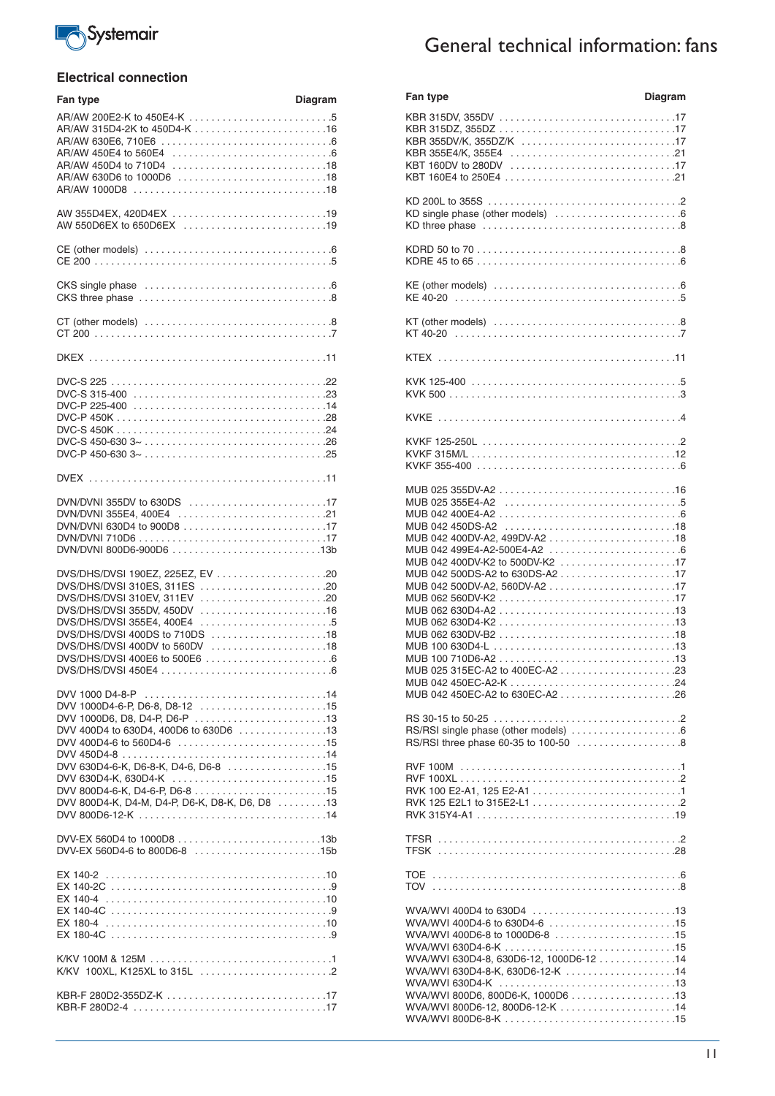

### **Electrical connection**

| Fan type                                                                                                                                                                                                                                                     | <b>Diagram</b> |
|--------------------------------------------------------------------------------------------------------------------------------------------------------------------------------------------------------------------------------------------------------------|----------------|
|                                                                                                                                                                                                                                                              |                |
| AW 355D4EX, 420D4EX 19                                                                                                                                                                                                                                       |                |
|                                                                                                                                                                                                                                                              |                |
|                                                                                                                                                                                                                                                              |                |
|                                                                                                                                                                                                                                                              |                |
|                                                                                                                                                                                                                                                              |                |
|                                                                                                                                                                                                                                                              |                |
|                                                                                                                                                                                                                                                              |                |
| DVN/DVNI 355DV to 630DS 17<br>DVN/DVNI 355E4, 400E4 21<br>DVN/DVNI 800D6-900D6 13b                                                                                                                                                                           |                |
| DVS/DHS/DVSI 190EZ, 225EZ, EV 20<br>DVS/DHS/DVSI 310ES, 311ES 20<br>DVS/DHS/DVSI 310EV, 311EV<br>DVS/DHS/DVSI 355DV, 450DV<br>DVS/DHS/DVSI 355E4, 400E4<br>DVS/DHS/DVSI 400DS to 710DS 18<br>DVS/DHS/DVSI 400DV to 560DV 18<br>DVS/DHS/DVSI 400E6 to 500E6 6 |                |
| DVV 1000D4-6-P, D6-8, D8-12 15<br>DVV 1000D6, D8, D4-P, D6-P 13<br>DVV 400D4 to 630D4, 400D6 to 630D6 13<br>DVV 400D4-6 to 560D4-6 15<br>DVV 630D4-6-K, D6-8-K, D4-6, D6-8 15<br>DVV 800D4-K, D4-M, D4-P, D6-K, D8-K, D6, D8 13                              |                |
| DVV-EX 560D4-6 to 800D6-8 15b                                                                                                                                                                                                                                |                |
| EX 180-4C                                                                                                                                                                                                                                                    |                |
|                                                                                                                                                                                                                                                              |                |
|                                                                                                                                                                                                                                                              |                |

# General technical information: fans

| Fan type                                                                                               | <b>Diagram</b> | Fan type                                | Diagram |
|--------------------------------------------------------------------------------------------------------|----------------|-----------------------------------------|---------|
|                                                                                                        |                |                                         |         |
|                                                                                                        |                |                                         |         |
|                                                                                                        |                |                                         |         |
|                                                                                                        |                | KBR 355DV/K, 355DZ/K 17                 |         |
|                                                                                                        |                |                                         |         |
|                                                                                                        |                |                                         |         |
|                                                                                                        |                |                                         |         |
|                                                                                                        |                |                                         |         |
|                                                                                                        |                |                                         |         |
| AW 355D4EX, 420D4EX 19                                                                                 |                |                                         |         |
|                                                                                                        |                |                                         |         |
| AW 550D6EX to 650D6EX 19                                                                               |                |                                         |         |
|                                                                                                        |                |                                         |         |
|                                                                                                        |                |                                         |         |
|                                                                                                        |                |                                         |         |
|                                                                                                        |                |                                         |         |
| CKS single phase $\ldots \ldots \ldots \ldots \ldots \ldots \ldots \ldots \ldots \ldots \ldots \ldots$ |                |                                         |         |
|                                                                                                        |                |                                         |         |
|                                                                                                        |                |                                         |         |
|                                                                                                        |                |                                         |         |
|                                                                                                        |                |                                         |         |
|                                                                                                        |                |                                         |         |
|                                                                                                        |                |                                         |         |
|                                                                                                        |                |                                         |         |
|                                                                                                        |                |                                         |         |
|                                                                                                        |                |                                         |         |
|                                                                                                        |                |                                         |         |
|                                                                                                        |                |                                         |         |
|                                                                                                        |                |                                         |         |
|                                                                                                        |                |                                         |         |
|                                                                                                        |                |                                         |         |
|                                                                                                        |                |                                         |         |
|                                                                                                        |                |                                         |         |
|                                                                                                        |                |                                         |         |
|                                                                                                        |                |                                         |         |
|                                                                                                        |                |                                         |         |
| DVN/DVNI 355DV to 630DS 17                                                                             |                |                                         |         |
|                                                                                                        |                |                                         |         |
|                                                                                                        |                |                                         |         |
|                                                                                                        |                |                                         |         |
|                                                                                                        |                | MUB 042 400DV-A2, 499DV-A218            |         |
|                                                                                                        |                |                                         |         |
|                                                                                                        |                | MUB 042 400DV-K2 to 500DV-K2 17         |         |
| DVS/DHS/DVSI 190EZ, 225EZ, EV 20                                                                       |                |                                         |         |
| DVS/DHS/DVSI 310ES, 311ES 20                                                                           |                | MUB 042 500DV-A2, 560DV-A217            |         |
|                                                                                                        |                |                                         |         |
|                                                                                                        |                |                                         |         |
| DVS/DHS/DVSI 355DV, 450DV 16                                                                           |                |                                         |         |
|                                                                                                        |                |                                         |         |
| DVS/DHS/DVSI 400DS to 710DS 18                                                                         |                |                                         |         |
| DVS/DHS/DVSI 400DV to 560DV 18                                                                         |                |                                         |         |
| DVS/DHS/DVSI 400E6 to 500E6 6                                                                          |                |                                         |         |
|                                                                                                        |                |                                         |         |
|                                                                                                        |                |                                         |         |
|                                                                                                        |                | MUB 042 450EC-A2 to 630EC-A226          |         |
| DVV 1000D4-6-P, D6-8, D8-12 15                                                                         |                |                                         |         |
|                                                                                                        |                |                                         |         |
| DVV 1000D6, D8, D4-P, D6-P 13                                                                          |                |                                         |         |
| DVV 400D4 to 630D4, 400D6 to 630D6 13                                                                  |                |                                         |         |
|                                                                                                        |                | RS/RSI three phase 60-35 to 100-50 8    |         |
|                                                                                                        |                |                                         |         |
| DVV 630D4-6-K, D6-8-K, D4-6, D6-8 15                                                                   |                |                                         |         |
|                                                                                                        |                |                                         |         |
|                                                                                                        |                |                                         |         |
| DVV 800D4-K, D4-M, D4-P, D6-K, D8-K, D6, D8 13                                                         |                |                                         |         |
|                                                                                                        |                |                                         |         |
|                                                                                                        |                |                                         |         |
|                                                                                                        |                |                                         |         |
|                                                                                                        |                |                                         |         |
| DVV-EX 560D4-6 to 800D6-8 15b                                                                          |                |                                         |         |
|                                                                                                        |                |                                         |         |
|                                                                                                        |                |                                         |         |
|                                                                                                        |                |                                         |         |
|                                                                                                        |                |                                         |         |
|                                                                                                        |                | WVA/WVI 400D4 to 630D4 13               |         |
|                                                                                                        |                |                                         |         |
|                                                                                                        |                |                                         |         |
|                                                                                                        |                | WVA/WVI 400D6-8 to 1000D6-8 15          |         |
|                                                                                                        |                |                                         |         |
|                                                                                                        |                | WVA/WVI 630D4-8, 630D6-12, 1000D6-12 14 |         |
|                                                                                                        |                | WVA/WVI 630D4-8-K, 630D6-12-K 14        |         |
|                                                                                                        |                |                                         |         |
|                                                                                                        |                | WVA/WVI 800D6, 800D6-K, 1000D6 13       |         |
|                                                                                                        |                | WVA/WVI 800D6-12, 800D6-12-K 14         |         |
|                                                                                                        |                |                                         |         |
|                                                                                                        |                |                                         |         |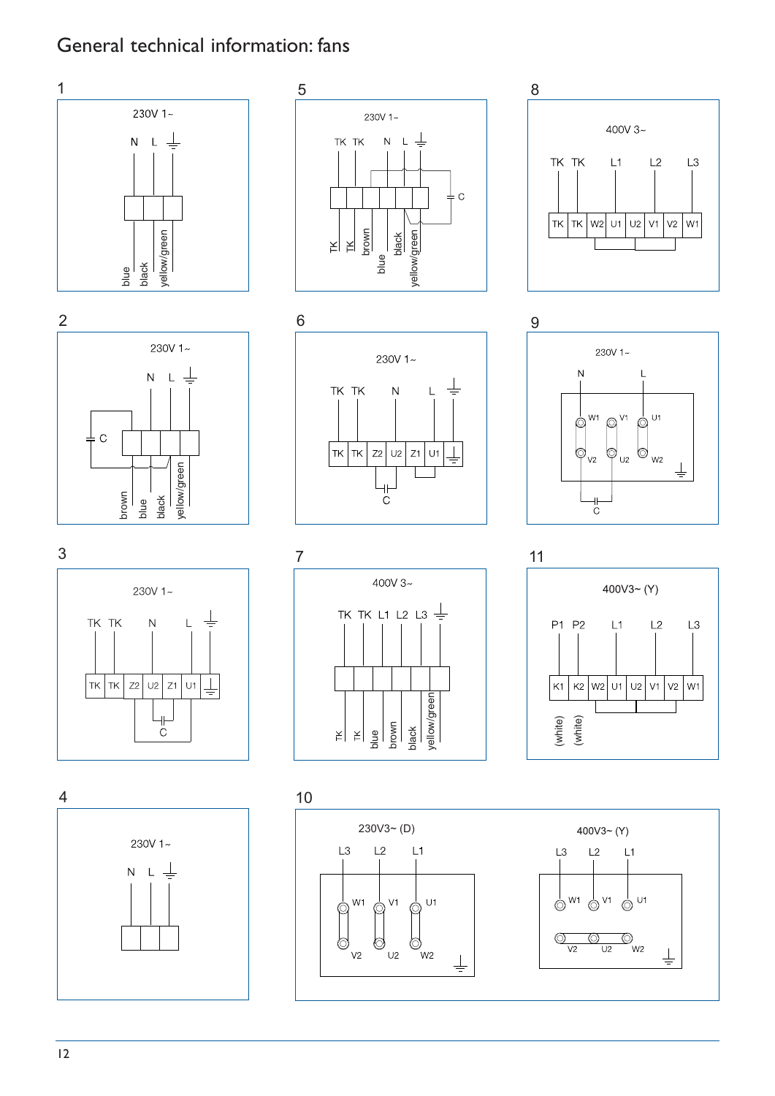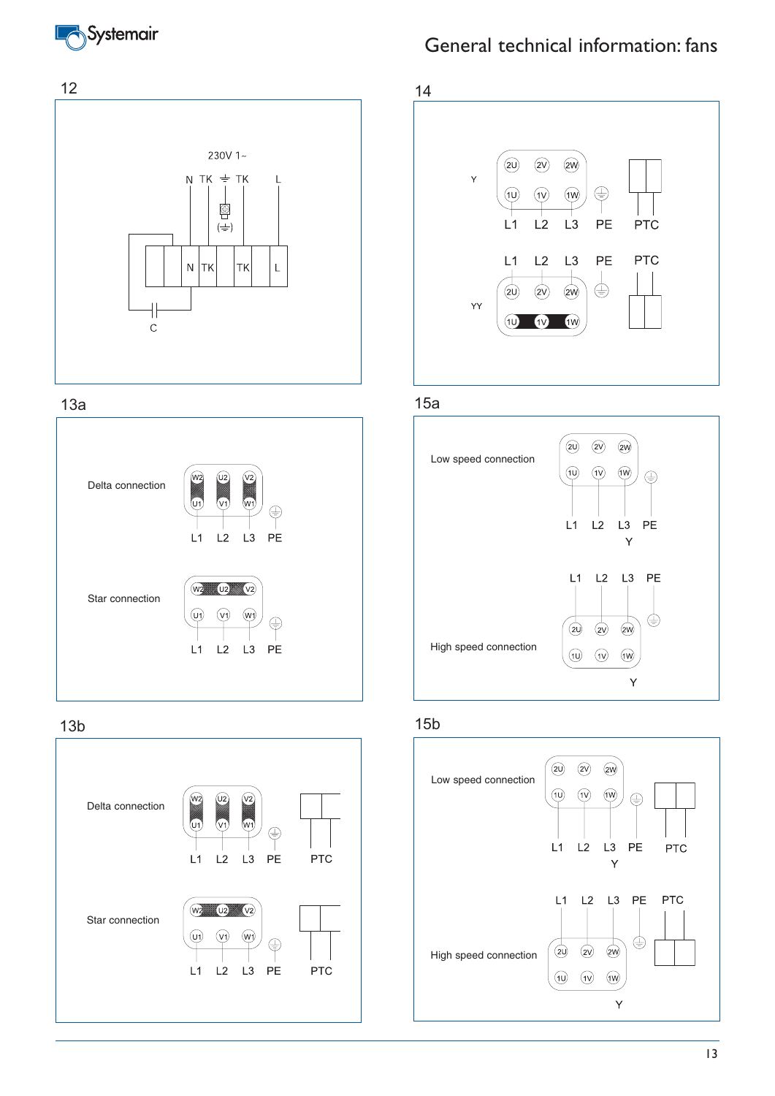





### 13b



# General technical information: fans



13a 15a



### 15b

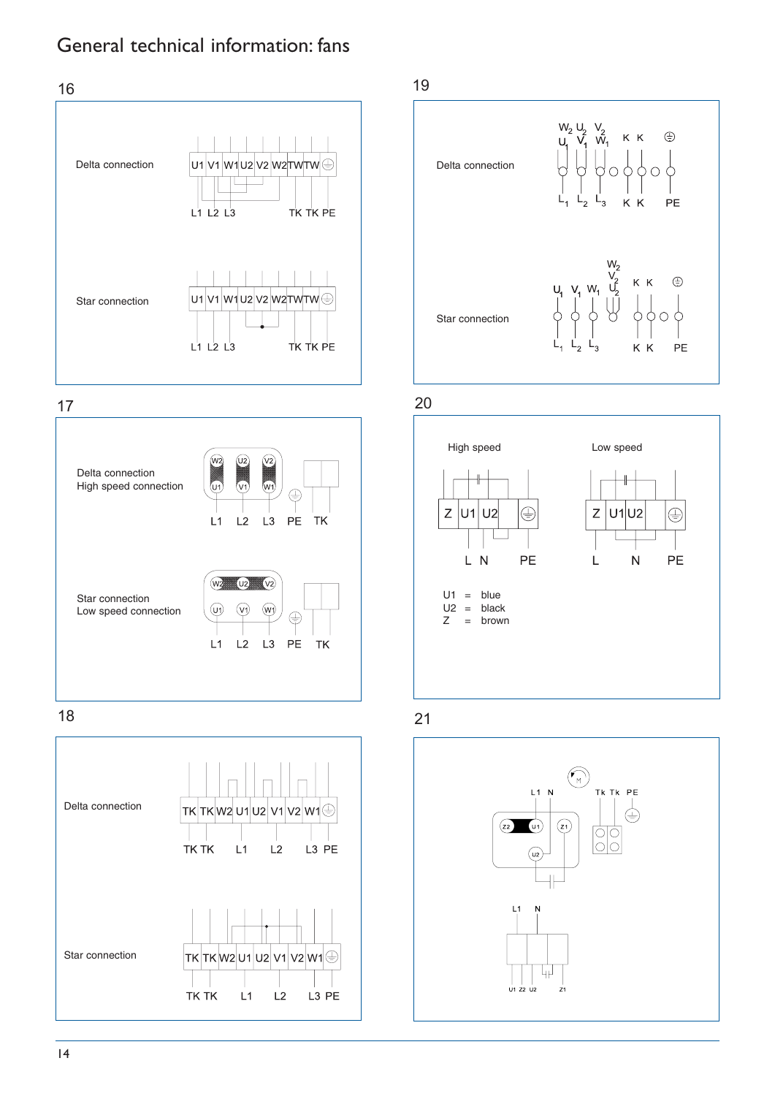

17



18





20



21

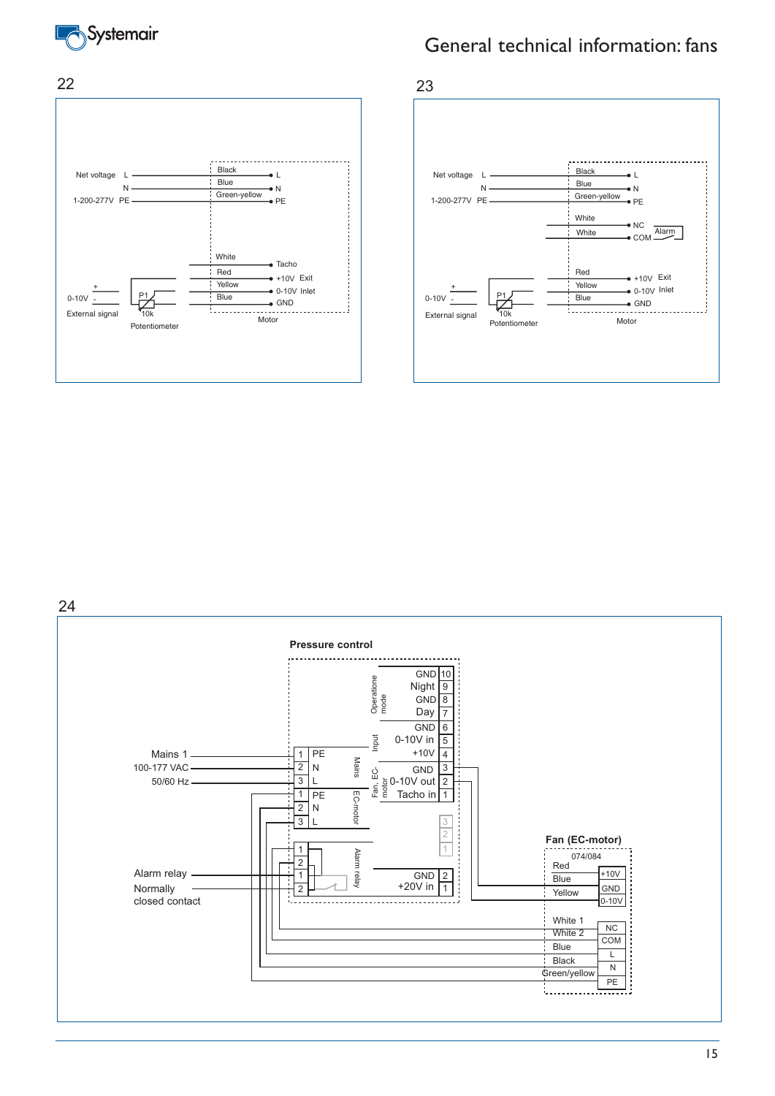





24

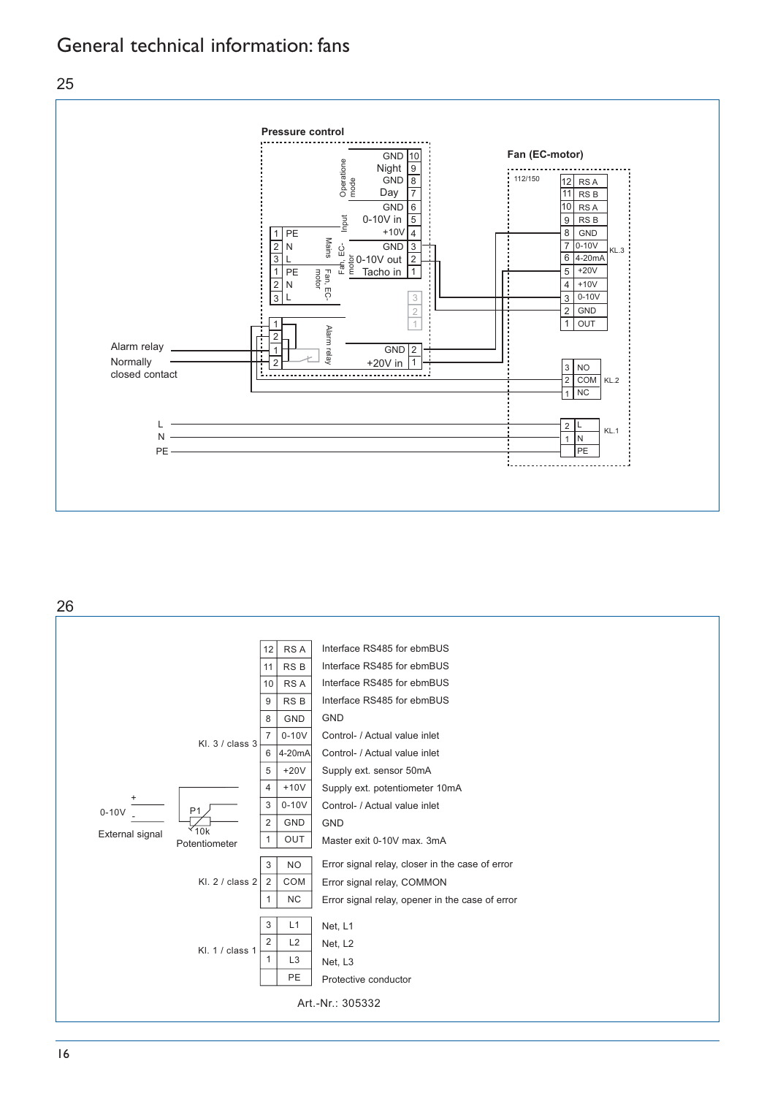



26